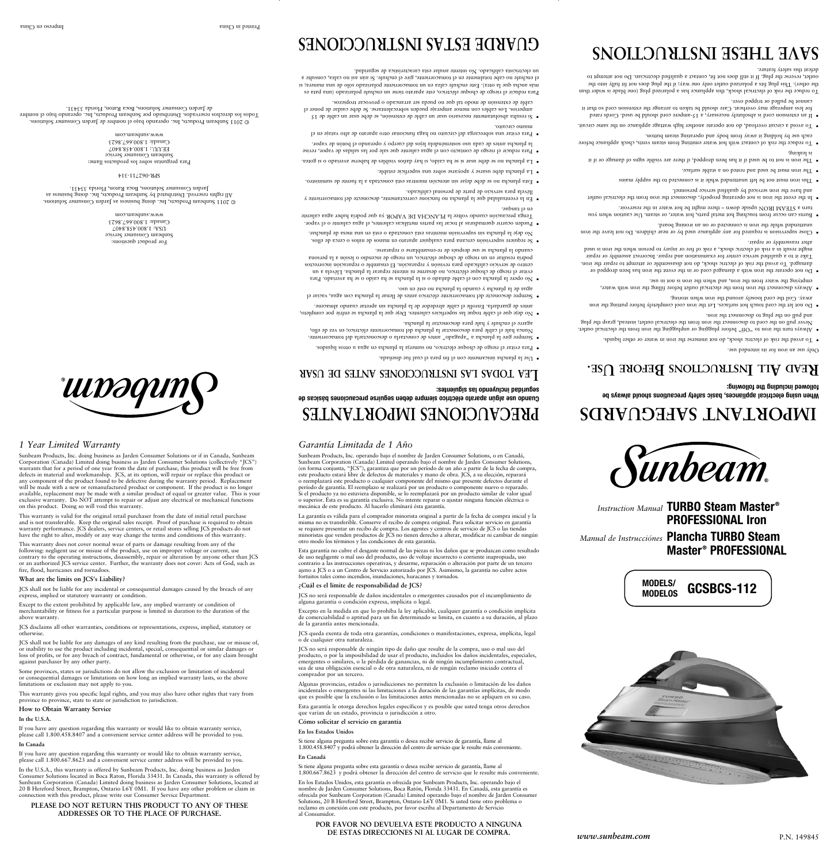*Instruction Manual* **TURBO Steam Master ®**

*iunbeam* 

**MODELOS GCSBCS-112** 

**PROFESSIONAL Iron**

*Manual de Instrucciónes* **Plancha TURBO Steam** 

**Master ® PROFESSIONAL**

# **HEAD ALL INSTRUCTIONS BEFORE USE.**

*Garantía Limitada de 1 Año*

Sunbeam Products, Inc. operando bajo el nombre de Jarden Consumer Solutions, o en Canadá, Sunbeam Corporation (Canada) Limited operando bajo el nombre de Jarden Consumer Solutions, (en forma conjunta, "JCS"), garantiza que por un período de un año a partir de la fecha de compra, este producto estará libre de defectos de materiales y mano de obra. JCS, a su elección, reparará o reemplazará este producto o cualquier componente del mismo que presente defectos durante el período de garantía. El reemplazo se realizará por un producto o componente nuevo o reparado. Si el producto ya no estuviera disponible, se lo reemplazará por un producto similar de valor igual o superior. Ésta es su garantía exclusiva. No intente reparar o ajustar ninguna función eléctrica o

mecánica de este producto. Al hacerlo elimínará ésta garantía.

La garantía es válida para el comprador minorista original a partir de la fecha de compra inicial y la misma no es transferible. Conserve el recibo de compra original. Para solicitar servicio en garantía se requiere presentar un recibo de compra. Los agentes y centros de servicio de JCS o las tiendas minoristas que venden productos de JCS no tienen derecho a alterar, modificar ni cambiar de ningún

otro modo los términos y las condiciones de esta garantía.

Esta garantía no cubre el desgaste normal de las piezas ni los daños que se produzcan como resultado de uso negligente o mal uso del producto, uso de voltaje incorrecto o corriente inapropiada, uso contrario a las instrucciones operativas, y desarme, reparación o alteración por parte de un tercero ajeno a JCS o a un Centro de Servicio autorizado por JCS. Asimismo, la garantía no cubre actos

fortuitos tales como incendios, inundaciones, huracanes y tornados.

**¿Cuál es el límite de responsabilidad de JCS?**

JCS no será responsable de daños incidentales o emergentes causados por el incumplimiento de

alguna garantía o condición expresa, implícita o legal.

Excepto en la medida en que lo prohíba la ley aplicable, cualquier garantía o condición implícita de comerciabilidad o aptitud para un fin determinado se limita, en cuanto a su duración, al plazo

de la garantía antes mencionada. JCS queda exenta de toda otra garantías, condiciones o manifestaciones, expresa, implícita, legal

o de cualquier otra naturaleza.

JCS no será responsable de ningún tipo de daño que resulte de la compra, uso o mal uso del producto, o por la imposibilidad de usar el producto, incluidos los daños incidentales, especiales, emergentes o similares, o la pérdida de ganancias, ni de ningún incumplimiento contractual, sea de una obligación esencial o de otra naturaleza, ni de ningún reclamo iniciado contra el comprador por un tercero.

Algunas provincias, estados o jurisdicciones no permiten la exclusión o limitación de los daños incidentales o emergentes ni las limitaciones a la duración de las garantías implícitas, de modo que es posible que la exclusión o las limitaciones antes mencionadas no se apliquen en su caso.

Esta garantía le otorga derechos legales específicos y es posible que usted tenga otros derechos que varían de un estado, provincia o jurisdicción a otro.

#### **Cómo solicitar el servicio en garantía**

#### **En los Estados Unidos**

Si tiene alguna pregunta sobre esta garantía o desea recibir servicio de garantía, llame al 1.800.458.8407 y podrá obtener la dirección del centro de servicio que le resulte más conveniente.

#### **En Canadá**

Si tiene alguna pregunta sobre esta garantía o desea recibir servicio de garantía, llame al 1.800.667.8623 y podrá obtener la dirección del centro de servicio que le resulte más conveniente.

En los Estados Unidos, esta garantía es ofrecida por Sunbeam Products, Inc. operando bajo el nombre de Jarden Consumer Solutions, Boca Ratón, Florida 33431. En Canadá, esta garantía es ofrecida por Sunbeam Corporation (Canada) Limited operando bajo el nombre de Jarden Consumer Solutions, 20 B Hereford Street, Brampton, Ontario L6Y 0M1. Si usted tiene otro problema o reclamo en conexión con este producto, por favor escriba al Departamento de Servicio al Consumidor.

#### **POR FAVOR NO DEVUELVA ESTE PRODUCTO A NINGUNA DE ESTAS DIRECCIONES NI AL LUGAR DE COMPRA.**



*1 Year Limited Warranty*

Sunbeam Products, Inc. doing business as Jarden Consumer Solutions or if in Canada, Sunbeam Corporation (Canada) Limited doing business as Jarden Consumer Solutions (collectively "JCS") warrants that for a period of one year from the date of purchase, this product will be free from defects in material and workmanship. JCS, at its option, will repair or replace this product or any component of the product found to be defective during the warranty period. Replacement will be made with a new or remanufactured product or component. If the product is no longer available, replacement may be made with a similar product of equal or greater value. This is your exclusive warranty. Do NOT attempt to repair or adjust any electrical or mechanical functions

**UUDƏQUN** 

on this product. Doing so will void this warranty.

- $\bullet$  To avoid the risk of electric shock, do not mmerse the iron in water or other liquids. Always turn the iron to "OH" before plugging or unplugging the iron trom the electrical outlet. Never pull on the cord to disconnect the iron from the electrical outlet; instead, grasp the plug
- and pull on the plug to disconnect the iron.  $\bullet~$  Do not let the cord touch hot surfaces. Let the iron cool completely before putting the iron away. Coil the cord loosely around the iron when storing.
- Always disconnect the iron from the electrical outlet before filling the iron with water, emptying the water from the iron, and when the iron is not in use.
- Do not operate the iron with a damaged cord or in the event the iron has been dropped or damaged. To avoid the risk of electric shock, do not disassemble or attempt to repair the iron. Take it to a qualified service center for examination and repair. Incorrect assembly or repair might result in a risk of electric shock, a risk of fire or injury to person when the iron is used after reassembly or repair.
- Close supervision is required for any appliance used by or near children. Do not leave the iron unattended while the iron is connected or on an ironing board.
- $\bullet$  Burns can occur trom touching hot metal parts, hot water, or steam. Use caution when you turn a STEAM IRON upside down - there might be hot water in the reservoir.
- In the event the iron is not operating properly, disconnect the inc it of the electrical outlet and have the iron serviced by qualified service personnel.
- $\bullet$  I has not not must be left unattended while it is connected to the supply mains
- surface. Stable are must pe need and used on a stable surface.
- it it is agreed to sugise aldiary are areal it there are visible if the signs of are in the to signal  $\bullet$ is leaking.
- · To reduce the risk of contact with hot water emitting from steam vents, check appliance before each use by holding it away from body and operating steam button.
- $\bullet$  To avoid a circuit overload, do not operate another high wattage appliance on the same circuit.
- $\bullet~$  If an extension cord is absolutely necessary, a 15-ampere cord should be used. Cords rated for less amperage may overheat. Care should be taken to arrange the extension cord so that it cannot be pulled or tripped over.

This warranty is valid for the original retail purchaser from the date of initial retail purchase and is not transferable. Keep the original sales receipt. Proof of purchase is required to obtain warranty performance. JCS dealers, service centers, or retail stores selling JCS products do not have the right to alter, modify or any way change the terms and conditions of this warranty.

This warranty does not cover normal wear of parts or damage resulting from any of the

· Para evitar el riesgo de choque eléctrico, no sumerja la plancha en agua u otros líquidos. • Siempre gire la plancha a "apagado" antes de conectarla o desconectarla del tomacorriente. Nunca hale el cable para desconectar la plancha del tomacorriente eléctrico; en vez de ello,

following: negligent use or misuse of the product, use on improper voltage or current, use contrary to the operating instructions, disassembly, repair or alteration by anyone other than JCS or an authorized JCS service center. Further, the warranty does not cover: Acts of God, such as fire, flood, hurricanes and tornadoes.

### **What are the limits on JCS's Liability?**

JCS shall not be liable for any incidental or consequential damages caused by the breach of any

express, implied or statutory warranty or condition.

 $\bullet$  No opere la plancha con el cable dañado o is la plancha se ha caído o se ha averiado. Para evitar el riesgo de choque eléctrico, no desarme ni intente reparar la plancha. Llévela a un centro de servicio calificado para revisión y reparación. El ensamble o reparación incorrectos podría resultar en un riesgo de choque eléctrico, un riesgo de incendio o lesión a la persona

Except to the extent prohibited by applicable law, any implied warranty or condition of merchantability or fitness for a particular purpose is limited in duration to the duration of the

above warranty.

ellos. Be requiere supervisión cercana para cualquier aparato en manos de miños o cerca de ellos. No deje la plancha sin supervisión mientras está conectada o está en una mesa de planchar.  $\bullet$  Pueden ocurrir quemaduras al tocar las partes metálicas calientes, el agua caliente o el vapor. Tenga precaución cuando voltee la PLANCHA DE VAPOR ya que podría haber agua caliente

En la eventualidad que la plancha no funcione correctamente, desconecte del tomacorriente y

· Esta plancha no se debe dejar sin atención mientras está conectada a la fuente de suministro.

· La plancha no se debe usar si se ha caído, si hay daños visibles de haberse averiado o si gotea. Para reducir el riesgo de contacto con el agua caliente due sale por las salidas de vapor, revise la plancha antes de cada uso sosteniéndola lejos del cuerpo y operando el botón de vapor.  $\bullet$  Para evitar una sobrecarga del circuito no haga funcionar otro aparato de alto vataje en el

JCS disclaims all other warranties, conditions or representations, express, implied, statutory or otherwise.

JCS shall not be liable for any damages of any kind resulting from the purchase, use or misuse of, or inability to use the product including incidental, special, consequential or similar damages or loss of profits, or for any breach of contract, fundamental or otherwise, or for any claim brought against purchaser by any other party.

 $\cdot$  Si resulta absolutamente necesario usar un cable de extensión, se debe usar un cable de 15 amperios. Los cables con menor amperaje pueden sobrecalentarse. Se debe cuidar de poner el

Some provinces, states or jurisdictions do not allow the exclusion or limitation of incidental or consequential damages or limitations on how long an implied warranty lasts, so the above limitations or exclusion may not apply to you.

For product questions: Sunbeam Consumer Service USA: 1.800.458.8407 Canada: 1.800.667.8623 www.sunbeam.com

This warranty gives you specific legal rights, and you may also have other rights that vary from province to province, state to state or jurisdiction to jurisdiction.

#### **How to Obtain Warranty Service**

Para preguntas sobre los productos llame: Sunbeam Consumer Service EE.UU.: 1.800.458.8407 Canadá: 1.800.667.8623 www.sunbeam.com

#### **In the U.S.A.**

If you have any question regarding this warranty or would like to obtain warranty service, please call 1.800.458.8407 and a convenient service center address will be provided to you.

## **In Canada**

If you have any question regarding this warranty or would like to obtain warranty service, please call 1.800.667.8623 and a convenient service center address will be provided to you.

In the U.S.A., this warranty is offered by Sunbeam Products, Inc. doing business as Jarden Consumer Solutions located in Boca Raton, Florida 33431. In Canada, this warranty is offered by Sunbeam Corporation (Canada) Limited doing business as Jarden Consumer Solutions, located at 20 B Hereford Street, Brampton, Ontario L6Y 0M1. If you have any other problem or claim in connection with this product, please write our Consumer Service Department.

#### **PLEASE DO NOT RETURN THIS PRODUCT TO ANY OF THESE ADDRESSES OR TO THE PLACE OF PURCHASE.**

**When using electrical appliances, basic safety precautions should always be followed including the following:**

# **IMPORTANT SAFEGUARDS PRECAUCIONES IMPORTANTES**

To reduce the risk of electrical shock, this appliance has a polarized plug (one blade is wider than the other). This plug fits a polarized outlet only one way; if the plug does not fit fully into the outlet, reverse the plug. If it still does not fit, contact a qualified electrician. Do not attempt to defeat this safety feature.

# **SAVE THESE INSTRUCTIONS**

**Cuando use algún aparato eléctrico siempre deben seguirse precauciones básicas de** 

**seguridad incluyendo las siguientes:**

en ei tanque<sup>.</sup>

**r usa de antes ones i ucc r nst i las todas ea L**

 $\bullet$  No deje due el cable todue las superficies calientes. Deje due la plancha se enfrie por completo, antes de guardarla. Enrolle el cable alrededor de la plancha sin apretar cuando almacene. Siempre desconecte del tomacorriente eléctrico antes de llenar la plancha con agua, vaciar el

agarre el enchufe y hale para desconectar la plancha.

agua de la plancha y cuando la plancha no esté en uso.

llévela para servicio de parte de personal calificado.

· La plancha debe usarse y apoyarse sobre una superficie estable.

cnauqo la plancha se use después de re-ensamblarse o repararse.

mismo circuito.

 $\bullet$  Use la plancha únicamente con el fin para el cual fue diseñada.

cable de extensión de modo tal que no pueda ser arrancado o provocar tropiezos.

Para reducir el riesgo de choque eléctrico, este aparato tiene un enchufe polarizado (una pata es más ancha que la otra). Este enchufe calza en un tomacorriente polarizado sólo de una manera; si el enchufe no cabe totalmente en el tomacorriente, gire el enchufe. Si aún así no calza, consulte a

un electricista calificado. No intente anular esta característica de seguridad.

# **GUARDE ESTAS INSTRUCCIONES**

© 2011 Sunbeam Products, Inc. doing business as Jarden Consumer Solutions. All rights reserved. Distributed by Sunbeam Products, Inc. doing business as Jarden Consumer Solutions, Boca Raton, Florida 33431.

SPR-062711-314

© 2011 Sunbeam Products, Inc. operando bajo el nombre de Jarden Consumer Solutions. Todos los derechos reservados. Distribuido por Sunbeam Products, Inc. operando bajo el nombre de Jarden Consumer Solutions, Boca Raton, Florida 33431.

**MODELS/**

 $\gamma$ osn papuasus su ita intended use.